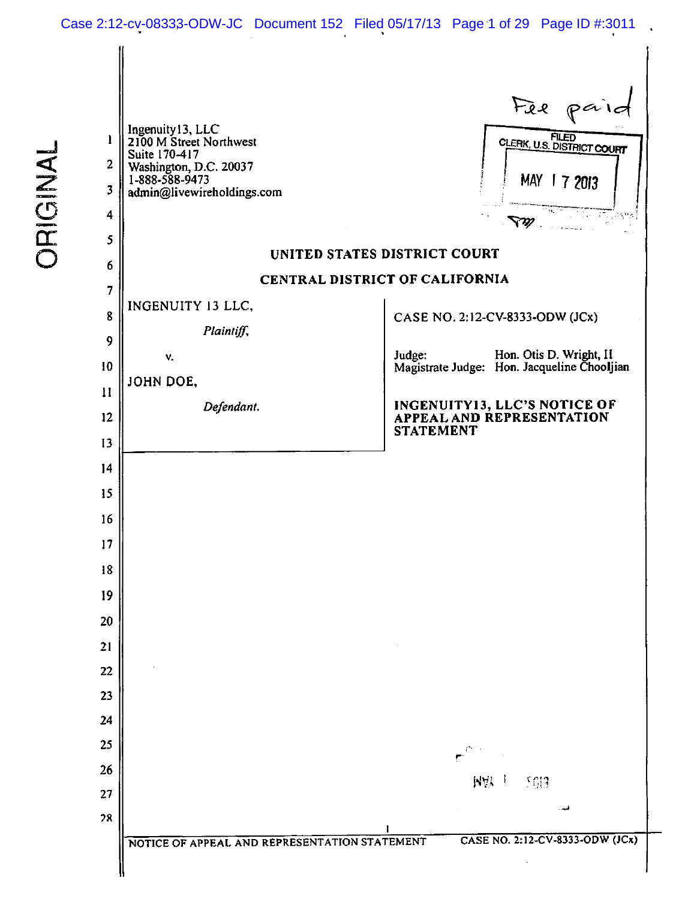ORIGINAL

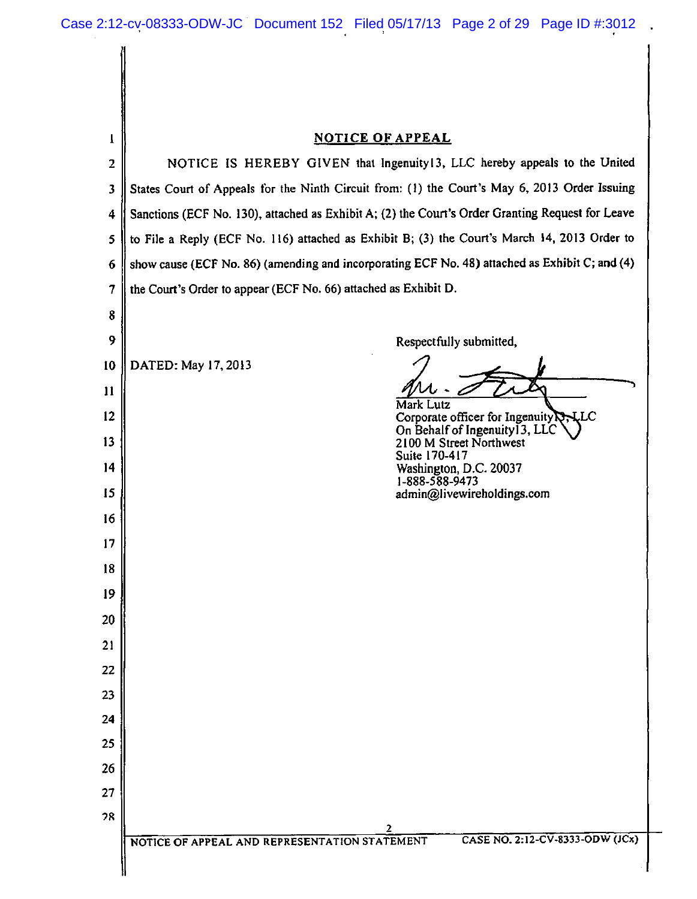| $\mathbf{I}$   | <b>NOTICE OF APPEAL</b>                                                                          |
|----------------|--------------------------------------------------------------------------------------------------|
| $\overline{2}$ | NOTICE IS HEREBY GIVEN that Ingenuity13, LLC hereby appeals to the United                        |
| 3              | States Court of Appeals for the Ninth Circuit from: (1) the Court's May 6, 2013 Order Issuing    |
| 4              | Sanctions (ECF No. 130), attached as Exhibit A; (2) the Court's Order Granting Request for Leave |
| 5              | to File a Reply (ECF No. 116) attached as Exhibit B; (3) the Court's March 14, 2013 Order to     |
| 6              | show cause (ECF No. 86) (amending and incorporating ECF No. 48) attached as Exhibit C; and (4)   |
| 7              | the Court's Order to appear (ECF No. 66) attached as Exhibit D.                                  |
| 8              |                                                                                                  |
| 9              | Respectfully submitted,                                                                          |
| 10             | DATED: May 17, 2013                                                                              |
| $\mathbf{11}$  | Mark Lutz                                                                                        |
| $12 \,$        | Corporate officer for Ingenuity N.LLC<br>On Behalf of Ingenuity 13, LLC                          |
| 13             | 2100 M Street Northwest<br>Suite 170-417                                                         |
| 14             | Washington, D.C. 20037<br>1-888-588-9473                                                         |
| 15             | admin@livewireholdings.com                                                                       |
| 16             |                                                                                                  |
| 17             |                                                                                                  |
| 18             |                                                                                                  |
| 19             |                                                                                                  |
| 20             |                                                                                                  |
| 21             |                                                                                                  |
| 22<br>23       |                                                                                                  |
| 24             |                                                                                                  |
| 25             |                                                                                                  |
| 26             |                                                                                                  |
| 27             |                                                                                                  |
| 28             |                                                                                                  |
|                | 2<br>CASE NO. 2:12-CV-8333-ODW (JCx)<br>NOTICE OF APPEAL AND REPRESENTATION STATEMENT            |
|                |                                                                                                  |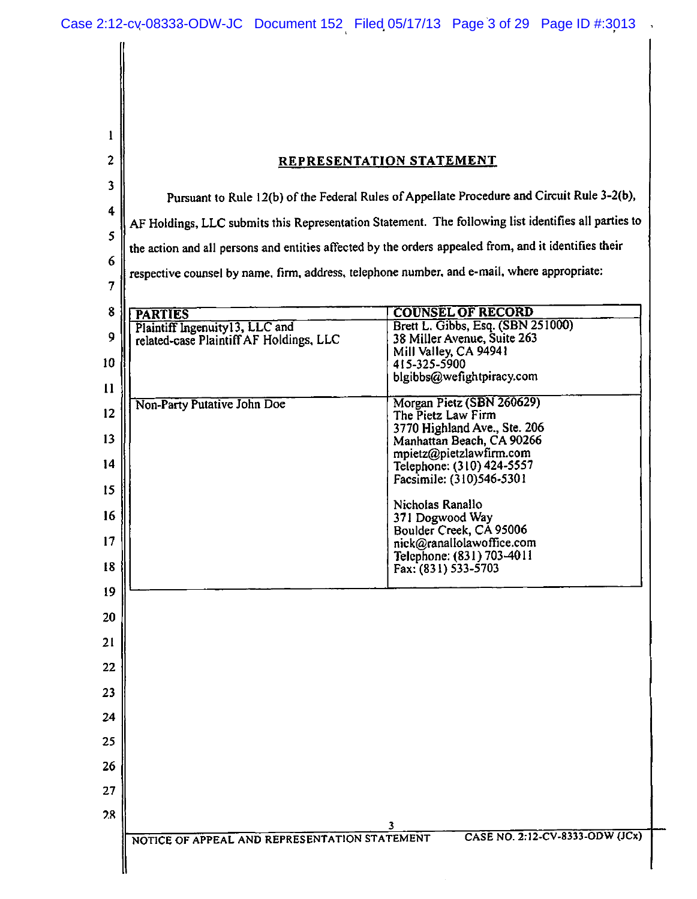| 1            |                                                                                                                                                                                                      |  |  |  |  |  |  |
|--------------|------------------------------------------------------------------------------------------------------------------------------------------------------------------------------------------------------|--|--|--|--|--|--|
| 2            | REPRESENTATION STATEMENT                                                                                                                                                                             |  |  |  |  |  |  |
| 3            |                                                                                                                                                                                                      |  |  |  |  |  |  |
| 4            | Pursuant to Rule 12(b) of the Federal Rules of Appellate Procedure and Circuit Rule 3-2(b),                                                                                                          |  |  |  |  |  |  |
| 5            | AF Holdings, LLC submits this Representation Statement. The following list identifies all parties to                                                                                                 |  |  |  |  |  |  |
| 6            | the action and all persons and entities affected by the orders appealed from, and it identifies their<br>respective counsel by name, firm, address, telephone number, and e-mail, where appropriate: |  |  |  |  |  |  |
| 7            |                                                                                                                                                                                                      |  |  |  |  |  |  |
| 8            | <b>COUNSEL OF RECORD</b><br><b>PARTIES</b><br>Brett L. Gibbs, Esq. (SBN 251000)<br>Plaintiff Ingenuity13, LLC and                                                                                    |  |  |  |  |  |  |
| 9            | 38 Miller Avenue, Suite 263<br>related-case Plaintiff AF Holdings, LLC<br>Mill Valley, CA 94941                                                                                                      |  |  |  |  |  |  |
| 10           | 415-325-5900<br>blgibbs@wefightpiracy.com                                                                                                                                                            |  |  |  |  |  |  |
| $\mathbf{1}$ | Morgan Pietz (SBN 260629)<br>Non-Party Putative John Doe                                                                                                                                             |  |  |  |  |  |  |
| 12<br>13     | The Pietz Law Firm<br>3770 Highland Ave., Ste. 206                                                                                                                                                   |  |  |  |  |  |  |
| 14           | Manhattan Beach, CA 90266<br>mpietz@pietzlawfirm.com<br>Telephone: (310) 424-5557                                                                                                                    |  |  |  |  |  |  |
| 15           | Facsimile: (310)546-5301                                                                                                                                                                             |  |  |  |  |  |  |
| 16           | Nicholas Ranallo<br>371 Dogwood Way                                                                                                                                                                  |  |  |  |  |  |  |
| 17           | Boulder Creek, CA 95006<br>nick@ranallolawoffice.com                                                                                                                                                 |  |  |  |  |  |  |
| 18           | Telephone: (831) 703-4011<br>Fax: (831) 533-5703                                                                                                                                                     |  |  |  |  |  |  |
| 19           |                                                                                                                                                                                                      |  |  |  |  |  |  |
| 20           |                                                                                                                                                                                                      |  |  |  |  |  |  |
| 21           |                                                                                                                                                                                                      |  |  |  |  |  |  |
| 22           |                                                                                                                                                                                                      |  |  |  |  |  |  |
| 23           |                                                                                                                                                                                                      |  |  |  |  |  |  |
| 24           |                                                                                                                                                                                                      |  |  |  |  |  |  |
| 25           |                                                                                                                                                                                                      |  |  |  |  |  |  |
| 26<br>27     |                                                                                                                                                                                                      |  |  |  |  |  |  |
| 28           |                                                                                                                                                                                                      |  |  |  |  |  |  |
|              | 3<br>CASE NO. 2:12-CV-8333-ODW (JCx)<br>NOTICE OF APPEAL AND REPRESENTATION STATEMENT                                                                                                                |  |  |  |  |  |  |
|              |                                                                                                                                                                                                      |  |  |  |  |  |  |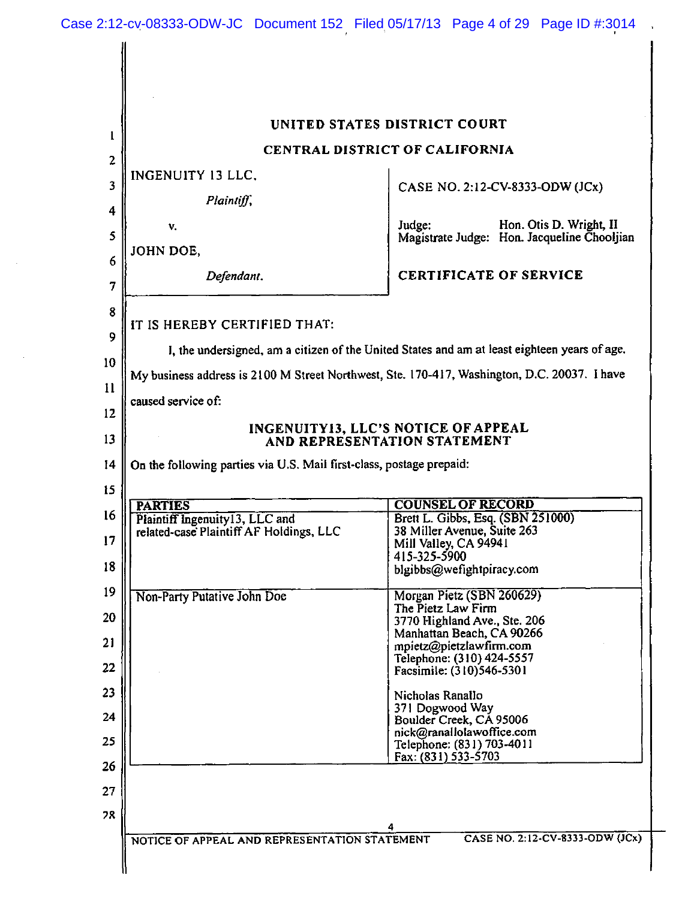|                                                                                             | UNITED STATES DISTRICT COURT                                                                                                                                                                     |
|---------------------------------------------------------------------------------------------|--------------------------------------------------------------------------------------------------------------------------------------------------------------------------------------------------|
|                                                                                             | CENTRAL DISTRICT OF CALIFORNIA                                                                                                                                                                   |
| INGENUITY 13 LLC.<br>Plaintiff,<br>ν.<br>JOHN DOE,<br>Defendant.                            | CASE NO. 2:12-CV-8333-ODW (JCx)<br>Hon. Otis D. Wright, II<br>Judge:<br>Magistrate Judge: Hon. Jacqueline Chooljian<br><b>CERTIFICATE OF SERVICE</b>                                             |
| IT IS HEREBY CERTIFIED THAT:<br>caused service of:                                          | I, the undersigned, am a citizen of the United States and am at least eighteen years of age.<br>My business address is 2100 M Street Northwest, Ste. 170-417, Washington, D.C. 20037. I have     |
|                                                                                             |                                                                                                                                                                                                  |
| On the following parties via U.S. Mail first-class, postage prepaid:                        | INGENUITY13, LLC'S NOTICE OF APPEAL<br>AND REPRESENTATION STATEMENT                                                                                                                              |
| <b>PARTIES</b><br>Plaintiff Ingenuity13, LLC and<br>related-case Plaintiff AF Holdings, LLC | <b>COUNSEL OF RECORD</b><br>Brett L. Gibbs, Esq. (SBN 251000)<br>38 Miller Avenue, Suite 263<br>Mill Valley, CA 94941<br>415-325-5900<br>blgibbs@wefightpiracy.com                               |
| Non-Party Putative John Doe                                                                 | Morgan Pietz (SBN 260629)<br>The Pietz Law Firm<br>3770 Highland Ave., Ste. 206<br>Manhattan Beach, CA 90266<br>mpietz@pietzlawfirm.com<br>Telephone: (310) 424-5557<br>Facsimile: (310)546-5301 |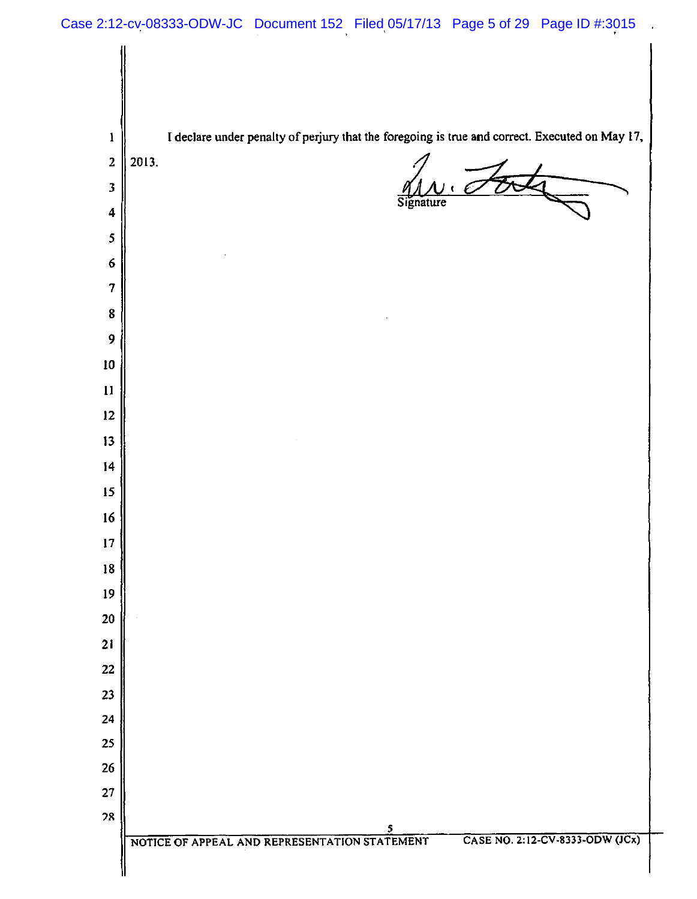I declare under penalty of perjury that the foregoing is true and correct. Executed on May 17,  $\mathbf{I}$  $\overline{2}$ 2013. tosts  $\overline{\mathbf{3}}$  $\overline{4}$  $\overline{7}$  $\overline{9}$ CASE NO. 2:12-CV-8333-ODW (JCx) NOTICE OF APPEAL AND REPRESENTATION STATEMENT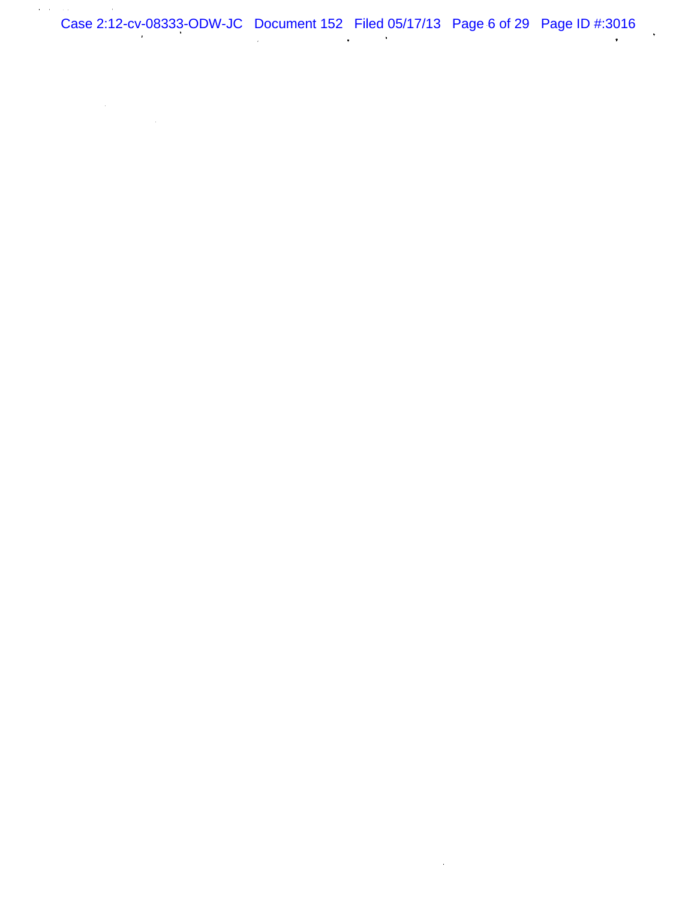Case 2:12-cv-08333-ODW-JC Document 152 Filed 05/17/13 Page 6 of 29 Page ID #:3016

 $\alpha$  ,  $\alpha$  ,  $\beta$  ,  $\alpha$ 

 $\sim 10^{-11}$ 

 $\sim 10^{-1}$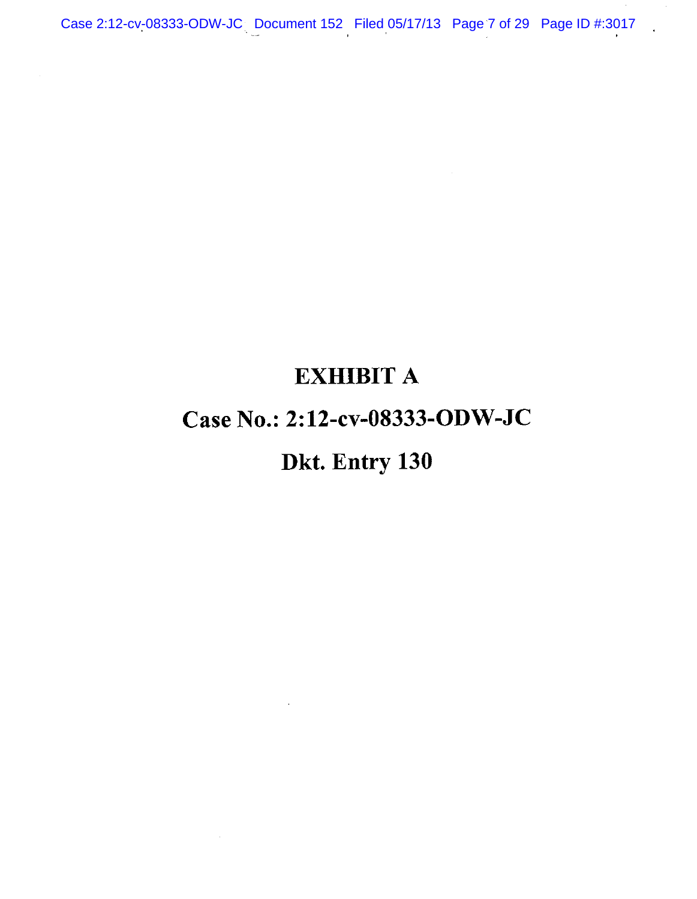Case 2:12-cv-08333-ODW-JC Document 152 Filed 05/17/13 Page 7 of 29 Page ID #:3017

### **EXHIBIT A**

### Case No.: 2:12-cv-08333-ODW-JC

### Dkt. Entry 130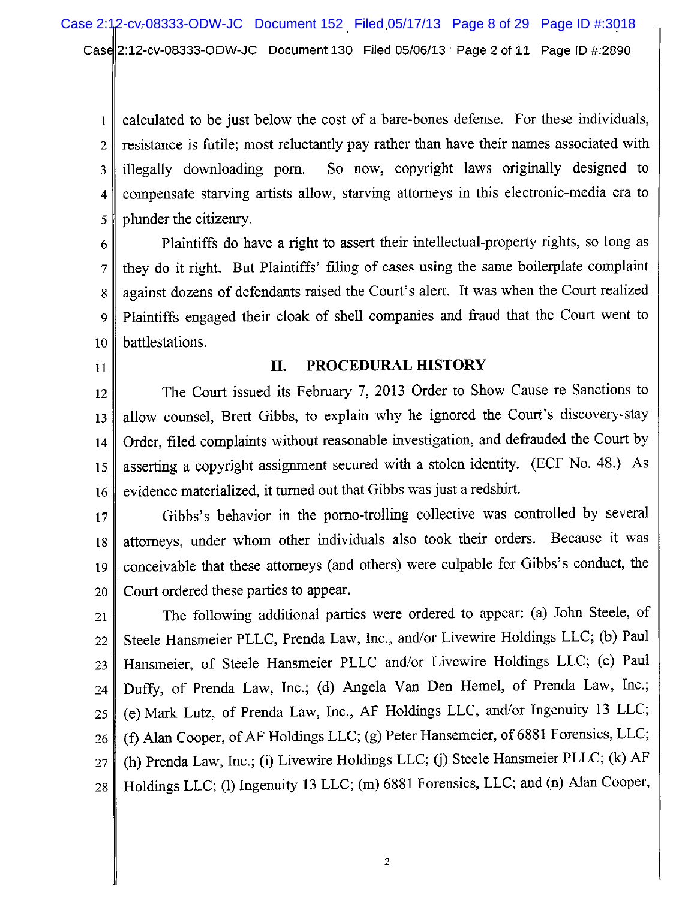calculated to be just below the cost of a bare-bones defense. For these individuals.  $\mathbf{1}$ resistance is futile; most reluctantly pay rather than have their names associated with  $\overline{2}$ So now, copyright laws originally designed to illegally downloading porn. 3 compensate starving artists allow, starving attorneys in this electronic-media era to  $\overline{\mathbf{4}}$ plunder the citizenry. 5

Plaintiffs do have a right to assert their intellectual-property rights, so long as 6 they do it right. But Plaintiffs' filing of cases using the same boilerplate complaint  $\overline{7}$ against dozens of defendants raised the Court's alert. It was when the Court realized 8 Plaintiffs engaged their cloak of shell companies and fraud that the Court went to 9 battlestations. 10

 $11$ 

#### PROCEDURAL HISTORY II.

The Court issued its February 7, 2013 Order to Show Cause re Sanctions to  $12$ allow counsel, Brett Gibbs, to explain why he ignored the Court's discovery-stay 13 Order, filed complaints without reasonable investigation, and defrauded the Court by  $14$ asserting a copyright assignment secured with a stolen identity. (ECF No. 48.) As 15 evidence materialized, it turned out that Gibbs was just a redshirt. 16

Gibbs's behavior in the porno-trolling collective was controlled by several  $17$ attorneys, under whom other individuals also took their orders. Because it was 18 conceivable that these attorneys (and others) were culpable for Gibbs's conduct, the 19 Court ordered these parties to appear. 20

The following additional parties were ordered to appear: (a) John Steele, of 21 Steele Hansmeier PLLC, Prenda Law, Inc., and/or Livewire Holdings LLC; (b) Paul 22 Hansmeier, of Steele Hansmeier PLLC and/or Livewire Holdings LLC; (c) Paul 23 Duffy, of Prenda Law, Inc.; (d) Angela Van Den Hemel, of Prenda Law, Inc.; 24 (e) Mark Lutz, of Prenda Law, Inc., AF Holdings LLC, and/or Ingenuity 13 LLC; 25 (f) Alan Cooper, of AF Holdings LLC; (g) Peter Hansemeier, of 6881 Forensics, LLC; 26 (h) Prenda Law, Inc.; (i) Livewire Holdings LLC; (j) Steele Hansmeier PLLC; (k) AF 27 Holdings LLC; (l) Ingenuity 13 LLC; (m) 6881 Forensics, LLC; and (n) Alan Cooper, 28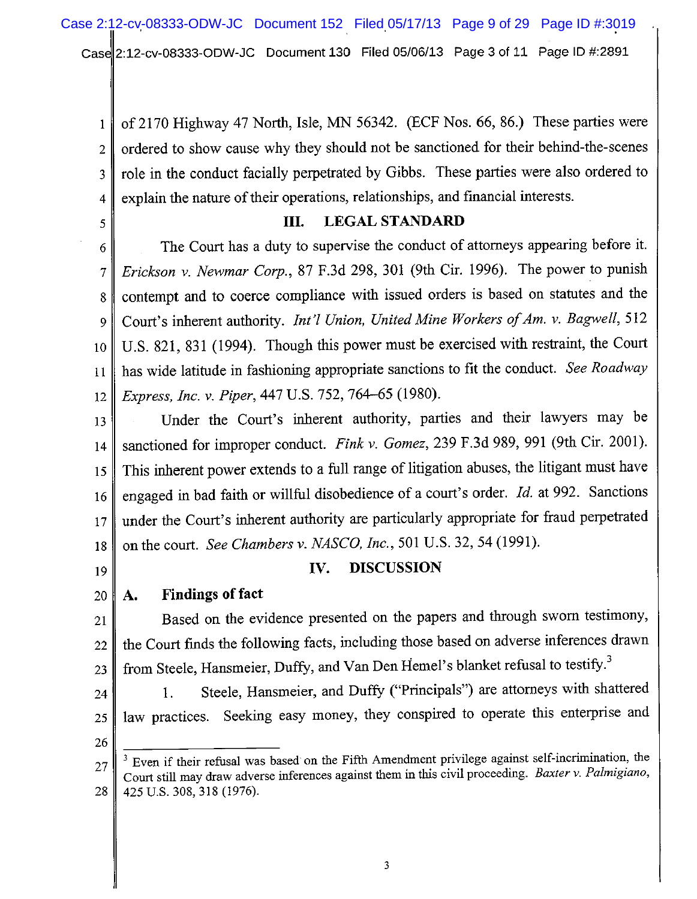of 2170 Highway 47 North, Isle, MN 56342. (ECF Nos. 66, 86.) These parties were  $\mathbf{1}$ ordered to show cause why they should not be sanctioned for their behind-the-scenes  $\overline{2}$ role in the conduct facially perpetrated by Gibbs. These parties were also ordered to 3 explain the nature of their operations, relationships, and financial interests.  $\overline{\mathbf{4}}$ 

5

#### III. **LEGAL STANDARD**

The Court has a duty to supervise the conduct of attorneys appearing before it.  $\boldsymbol{6}$ Erickson v. Newmar Corp., 87 F.3d 298, 301 (9th Cir. 1996). The power to punish  $\tau$ contempt and to coerce compliance with issued orders is based on statutes and the 8 Court's inherent authority. Int'l Union, United Mine Workers of Am. v. Bagwell, 512 9 U.S. 821, 831 (1994). Though this power must be exercised with restraint, the Court 10 has wide latitude in fashioning appropriate sanctions to fit the conduct. See Roadway 11 Express, Inc. v. Piper, 447 U.S. 752, 764-65 (1980).  $12$ 

Under the Court's inherent authority, parties and their lawyers may be  $13$ sanctioned for improper conduct. Fink v. Gomez, 239 F.3d 989, 991 (9th Cir. 2001).  $14$ This inherent power extends to a full range of litigation abuses, the litigant must have 15 engaged in bad faith or willful disobedience of a court's order. Id. at 992. Sanctions 16 under the Court's inherent authority are particularly appropriate for fraud perpetrated 17 on the court. See Chambers v. NASCO, Inc., 501 U.S. 32, 54 (1991). 18

19

#### IV. **DISCUSSION**

**Findings of fact** A. 20

Based on the evidence presented on the papers and through sworn testimony, 21 the Court finds the following facts, including those based on adverse inferences drawn  $22$ from Steele, Hansmeier, Duffy, and Van Den Hemel's blanket refusal to testify.<sup>3</sup> 23

Steele, Hansmeier, and Duffy ("Principals") are attorneys with shattered 1. 24 law practices. Seeking easy money, they conspired to operate this enterprise and 25

26

<sup>&</sup>lt;sup>3</sup> Even if their refusal was based on the Fifth Amendment privilege against self-incrimination, the 27 Court still may draw adverse inferences against them in this civil proceeding. Baxter v. Palmigiano, 28 425 U.S. 308, 318 (1976).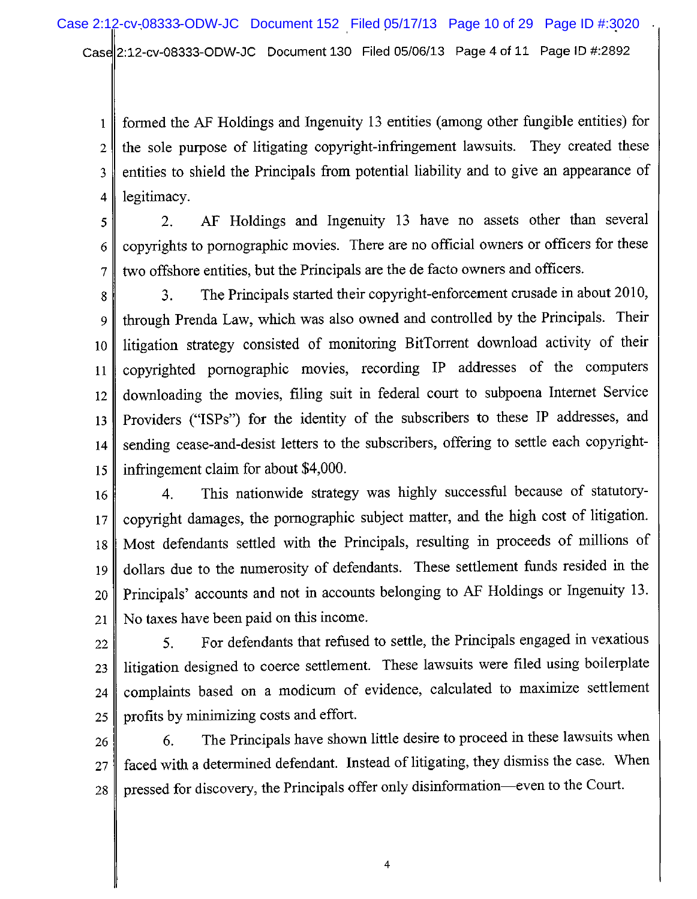formed the AF Holdings and Ingenuity 13 entities (among other fungible entities) for  $\mathbf{1}$ the sole purpose of litigating copyright-infringement lawsuits. They created these  $\overline{2}$ entities to shield the Principals from potential liability and to give an appearance of 3 legitimacy.  $\overline{\mathbf{4}}$ 

AF Holdings and Ingenuity 13 have no assets other than several  $2<sub>1</sub>$ 5 copyrights to pornographic movies. There are no official owners or officers for these 6 two offshore entities, but the Principals are the de facto owners and officers.  $\overline{7}$ 

The Principals started their copyright-enforcement crusade in about 2010, 3. 8 through Prenda Law, which was also owned and controlled by the Principals. Their 9 litigation strategy consisted of monitoring BitTorrent download activity of their 10 copyrighted pornographic movies, recording IP addresses of the computers 11 downloading the movies, filing suit in federal court to subpoena Internet Service 12 Providers ("ISPs") for the identity of the subscribers to these IP addresses, and 13 sending cease-and-desist letters to the subscribers, offering to settle each copyright-14 infringement claim for about \$4,000. 15

This nationwide strategy was highly successful because of statutory- $\overline{4}$ . 16 copyright damages, the pornographic subject matter, and the high cost of litigation. 17 Most defendants settled with the Principals, resulting in proceeds of millions of 18 dollars due to the numerosity of defendants. These settlement funds resided in the 19 Principals' accounts and not in accounts belonging to AF Holdings or Ingenuity 13. 20 No taxes have been paid on this income. 21

For defendants that refused to settle, the Principals engaged in vexatious 5. 22 litigation designed to coerce settlement. These lawsuits were filed using boilerplate 23 complaints based on a modicum of evidence, calculated to maximize settlement 24 profits by minimizing costs and effort. 25

The Principals have shown little desire to proceed in these lawsuits when 6. 26 faced with a determined defendant. Instead of litigating, they dismiss the case. When 27 pressed for discovery, the Principals offer only disinformation-even to the Court. 28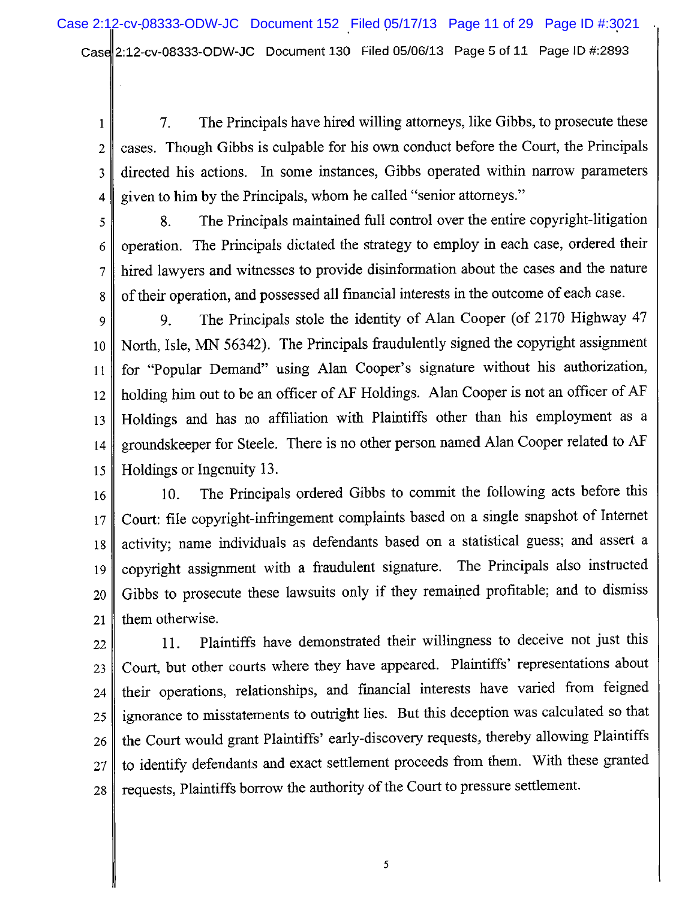Case 2:12-cv-08333-ODW-JC Document 130 Filed 05/06/13 Page 5 of 11 Page ID #:2893

- The Principals have hired willing attorneys, like Gibbs, to prosecute these  $7<sub>1</sub>$  $\mathbf{1}$ cases. Though Gibbs is culpable for his own conduct before the Court, the Principals  $\overline{2}$ directed his actions. In some instances, Gibbs operated within narrow parameters 3 given to him by the Principals, whom he called "senior attorneys."  $\overline{\mathbf{4}}$
- 5

6

 $\overline{7}$ 

8

- The Principals maintained full control over the entire copyright-litigation 8. operation. The Principals dictated the strategy to employ in each case, ordered their hired lawyers and witnesses to provide disinformation about the cases and the nature of their operation, and possessed all financial interests in the outcome of each case.
- The Principals stole the identity of Alan Cooper (of 2170 Highway 47 9. 9 North, Isle, MN 56342). The Principals fraudulently signed the copyright assignment 10 for "Popular Demand" using Alan Cooper's signature without his authorization, 11 holding him out to be an officer of AF Holdings. Alan Cooper is not an officer of AF 12 Holdings and has no affiliation with Plaintiffs other than his employment as a 13 groundskeeper for Steele. There is no other person named Alan Cooper related to AF 14 Holdings or Ingenuity 13. 15
- The Principals ordered Gibbs to commit the following acts before this 16 10. Court: file copyright-infringement complaints based on a single snapshot of Internet 17 activity; name individuals as defendants based on a statistical guess; and assert a 18 copyright assignment with a fraudulent signature. The Principals also instructed 19 Gibbs to prosecute these lawsuits only if they remained profitable; and to dismiss 20 them otherwise. 21
- Plaintiffs have demonstrated their willingness to deceive not just this 11. 22 Court, but other courts where they have appeared. Plaintiffs' representations about 23 their operations, relationships, and financial interests have varied from feigned 24 ignorance to misstatements to outright lies. But this deception was calculated so that 25 the Court would grant Plaintiffs' early-discovery requests, thereby allowing Plaintiffs 26 to identify defendants and exact settlement proceeds from them. With these granted 27 requests, Plaintiffs borrow the authority of the Court to pressure settlement. 28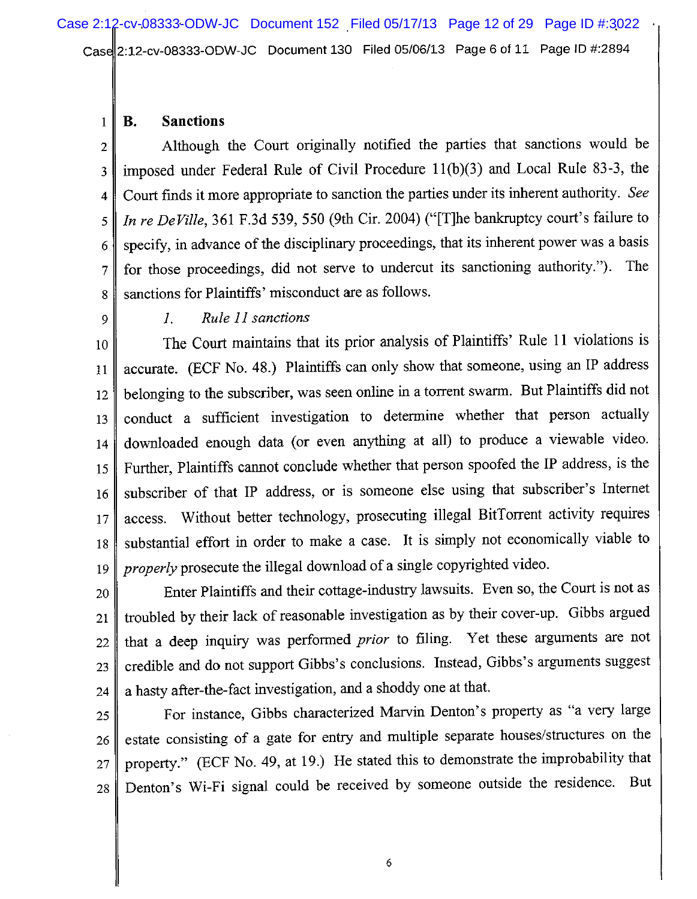#### **Sanctions B.**  $\mathbf{1}$

Although the Court originally notified the parties that sanctions would be  $\overline{2}$ imposed under Federal Rule of Civil Procedure 11(b)(3) and Local Rule 83-3, the  $\overline{3}$ Court finds it more appropriate to sanction the parties under its inherent authority. See  $\overline{4}$ In re DeVille, 361 F.3d 539, 550 (9th Cir. 2004) ("[T]he bankruptcy court's failure to 5 specify, in advance of the disciplinary proceedings, that its inherent power was a basis 6 for those proceedings, did not serve to undercut its sanctioning authority."). The 7 sanctions for Plaintiffs' misconduct are as follows. 8

9

#### Rule 11 sanctions  $\overline{l}$ .

The Court maintains that its prior analysis of Plaintiffs' Rule 11 violations is 10 accurate. (ECF No. 48.) Plaintiffs can only show that someone, using an IP address  $11$ belonging to the subscriber, was seen online in a torrent swarm. But Plaintiffs did not  $12$ conduct a sufficient investigation to determine whether that person actually 13 downloaded enough data (or even anything at all) to produce a viewable video. 14 Further, Plaintiffs cannot conclude whether that person spoofed the IP address, is the 15 subscriber of that IP address, or is someone else using that subscriber's Internet 16 access. Without better technology, prosecuting illegal BitTorrent activity requires 17 substantial effort in order to make a case. It is simply not economically viable to 18 *properly* prosecute the illegal download of a single copyrighted video. 19

Enter Plaintiffs and their cottage-industry lawsuits. Even so, the Court is not as 20 troubled by their lack of reasonable investigation as by their cover-up. Gibbs argued 21 that a deep inquiry was performed *prior* to filing. Yet these arguments are not 22 credible and do not support Gibbs's conclusions. Instead, Gibbs's arguments suggest 23 a hasty after-the-fact investigation, and a shoddy one at that. 24

For instance, Gibbs characterized Marvin Denton's property as "a very large 25 estate consisting of a gate for entry and multiple separate houses/structures on the 26 property." (ECF No. 49, at 19.) He stated this to demonstrate the improbability that 27 Denton's Wi-Fi signal could be received by someone outside the residence. But 28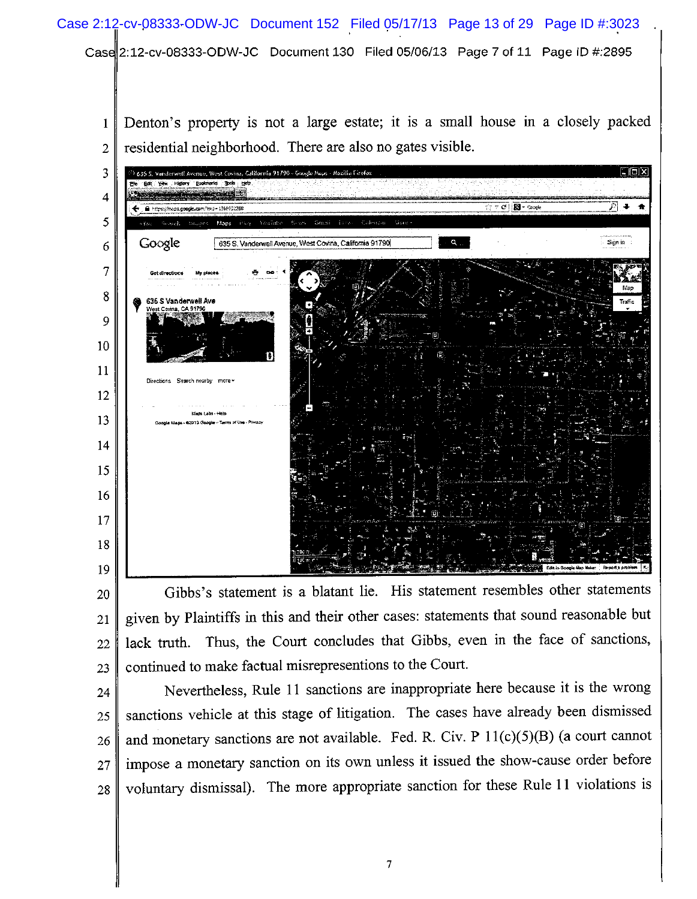

voluntary dismissal). The more appropriate sanction for these Rule 11 violations is 28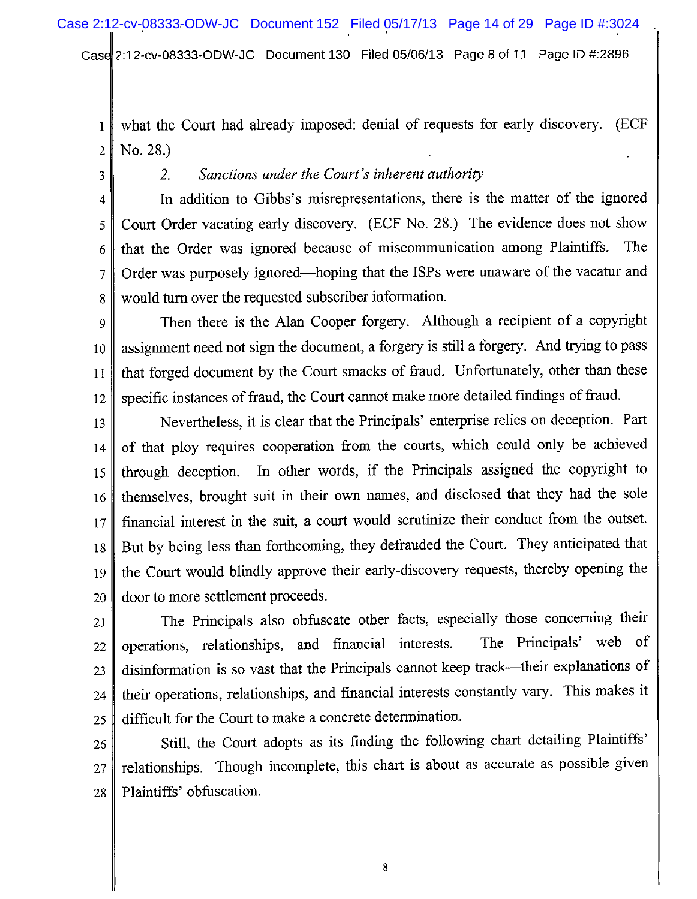Case 2:12-cv-08333-ODW-JC Document 152 Filed 05/17/13 Page 14 of 29 Page ID #:3024

Case 2:12-cv-08333-ODW-JC Document 130 Filed 05/06/13 Page 8 of 11 Page ID #:2896

what the Court had already imposed; denial of requests for early discovery. (ECF  $\mathbf{1}$  $No. 28.$  $\overline{2}$ 

 $\overline{3}$ 

#### Sanctions under the Court's inherent authority  $2.$

In addition to Gibbs's misrepresentations, there is the matter of the ignored  $\overline{4}$ Court Order vacating early discovery. (ECF No. 28.) The evidence does not show 5 that the Order was ignored because of miscommunication among Plaintiffs. **The** 6 Order was purposely ignored—hoping that the ISPs were unaware of the vacatur and  $\overline{7}$ would turn over the requested subscriber information. 8

Then there is the Alan Cooper forgery. Although a recipient of a copyright 9 assignment need not sign the document, a forgery is still a forgery. And trying to pass  $10$ that forged document by the Court smacks of fraud. Unfortunately, other than these 11 specific instances of fraud, the Court cannot make more detailed findings of fraud.  $12$ 

Nevertheless, it is clear that the Principals' enterprise relies on deception. Part 13 of that ploy requires cooperation from the courts, which could only be achieved  $14$ In other words, if the Principals assigned the copyright to through deception. 15 themselves, brought suit in their own names, and disclosed that they had the sole 16 financial interest in the suit, a court would scrutinize their conduct from the outset. 17 But by being less than forthcoming, they defrauded the Court. They anticipated that 18 the Court would blindly approve their early-discovery requests, thereby opening the 19 door to more settlement proceeds. 20

The Principals also obfuscate other facts, especially those concerning their 21 operations, relationships, and financial interests. The Principals' web of 22 disinformation is so vast that the Principals cannot keep track—their explanations of 23 their operations, relationships, and financial interests constantly vary. This makes it 24 difficult for the Court to make a concrete determination. 25

Still, the Court adopts as its finding the following chart detailing Plaintiffs' 26 relationships. Though incomplete, this chart is about as accurate as possible given 27 Plaintiffs' obfuscation. 28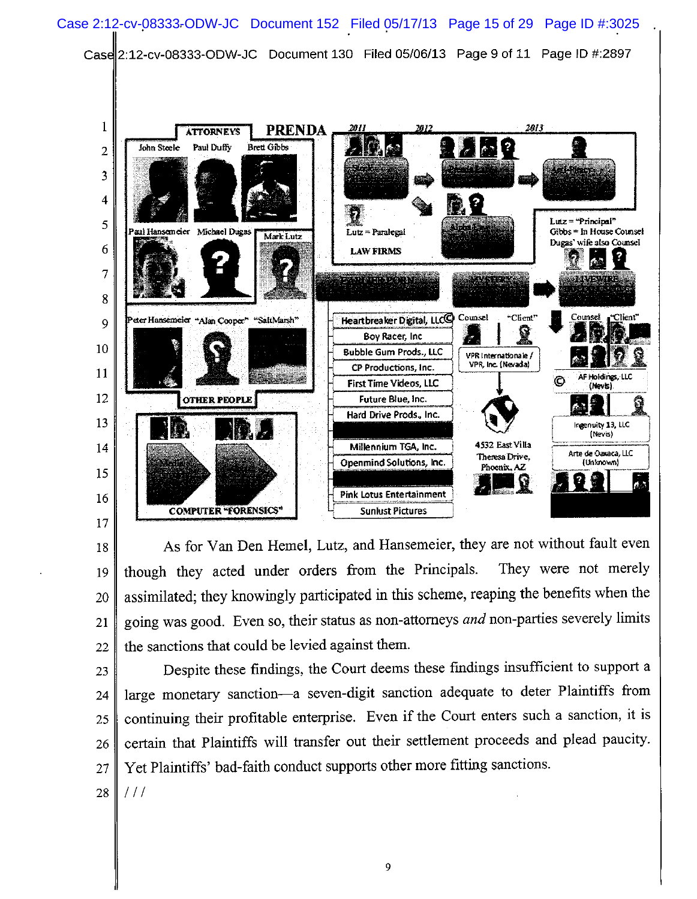

As for Van Den Hemel, Lutz, and Hansemeier, they are not without fault even 18 They were not merely though they acted under orders from the Principals. 19 assimilated; they knowingly participated in this scheme, reaping the benefits when the 20 going was good. Even so, their status as non-attorneys and non-parties severely limits 21 the sanctions that could be levied against them. 22

Despite these findings, the Court deems these findings insufficient to support a 23 large monetary sanction-a seven-digit sanction adequate to deter Plaintiffs from 24 continuing their profitable enterprise. Even if the Court enters such a sanction, it is 25 certain that Plaintiffs will transfer out their settlement proceeds and plead paucity. 26 Yet Plaintiffs' bad-faith conduct supports other more fitting sanctions. 27

28  $111$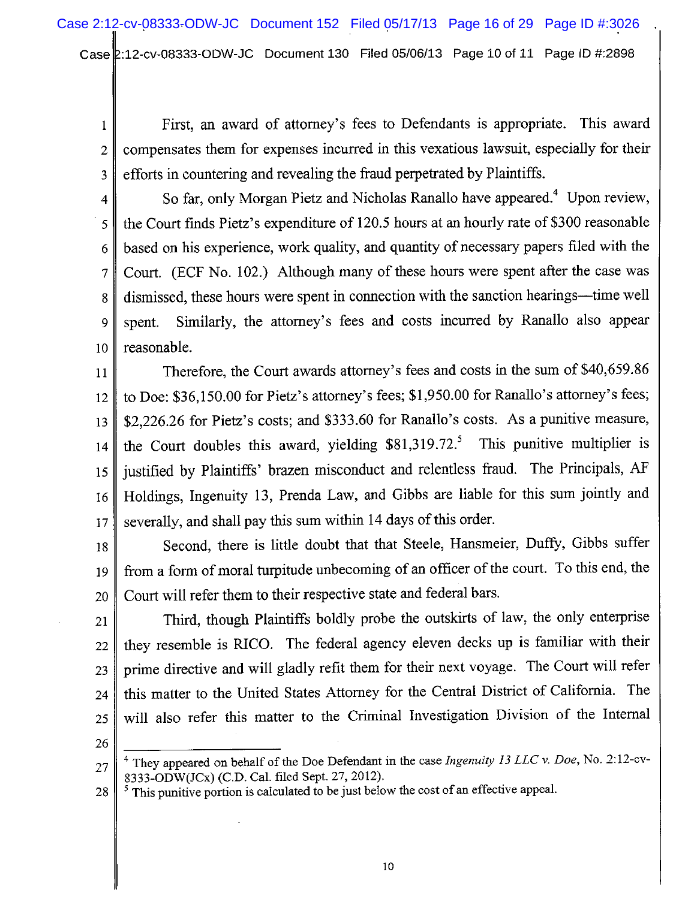Case 2:12-cv-08333-ODW-JC Document 130 Filed 05/06/13 Page 10 of 11 Page ID #:2898

First, an award of attorney's fees to Defendants is appropriate. This award  $\mathbf{1}$ compensates them for expenses incurred in this vexatious lawsuit, especially for their  $\overline{2}$ efforts in countering and revealing the fraud perpetrated by Plaintiffs. 3

So far, only Morgan Pietz and Nicholas Ranallo have appeared.<sup>4</sup> Upon review,  $\overline{4}$ the Court finds Pietz's expenditure of 120.5 hours at an hourly rate of \$300 reasonable 5 based on his experience, work quality, and quantity of necessary papers filed with the 6 Court. (ECF No. 102.) Although many of these hours were spent after the case was  $\overline{7}$ dismissed, these hours were spent in connection with the sanction hearings—time well 8 Similarly, the attorney's fees and costs incurred by Ranallo also appear 9 spent. reasonable.  $10$ 

Therefore, the Court awards attorney's fees and costs in the sum of \$40,659.86 11 to Doe: \$36,150.00 for Pietz's attorney's fees; \$1,950.00 for Ranallo's attorney's fees;  $12$ \$2,226.26 for Pietz's costs; and \$333.60 for Ranallo's costs. As a punitive measure, 13 the Court doubles this award, yielding  $$81,319.72$ .<sup>5</sup> This punitive multiplier is 14 justified by Plaintiffs' brazen misconduct and relentless fraud. The Principals, AF 15 Holdings, Ingenuity 13, Prenda Law, and Gibbs are liable for this sum jointly and 16 severally, and shall pay this sum within 14 days of this order.  $17$ 

Second, there is little doubt that that Steele, Hansmeier, Duffy, Gibbs suffer 18 from a form of moral turpitude unbecoming of an officer of the court. To this end, the 19 Court will refer them to their respective state and federal bars. 20

Third, though Plaintiffs boldly probe the outskirts of law, the only enterprise 21 they resemble is RICO. The federal agency eleven decks up is familiar with their 22 prime directive and will gladly refit them for their next voyage. The Court will refer 23 this matter to the United States Attorney for the Central District of California. The 24 will also refer this matter to the Criminal Investigation Division of the Internal 25

26

<sup>&</sup>lt;sup>4</sup> They appeared on behalf of the Doe Defendant in the case Ingenuity 13 LLC v. Doe, No. 2:12-cv-27 8333-ODW(JCx) (C.D. Cal. filed Sept. 27, 2012).

 $<sup>5</sup>$  This punitive portion is calculated to be just below the cost of an effective appeal.</sup> 28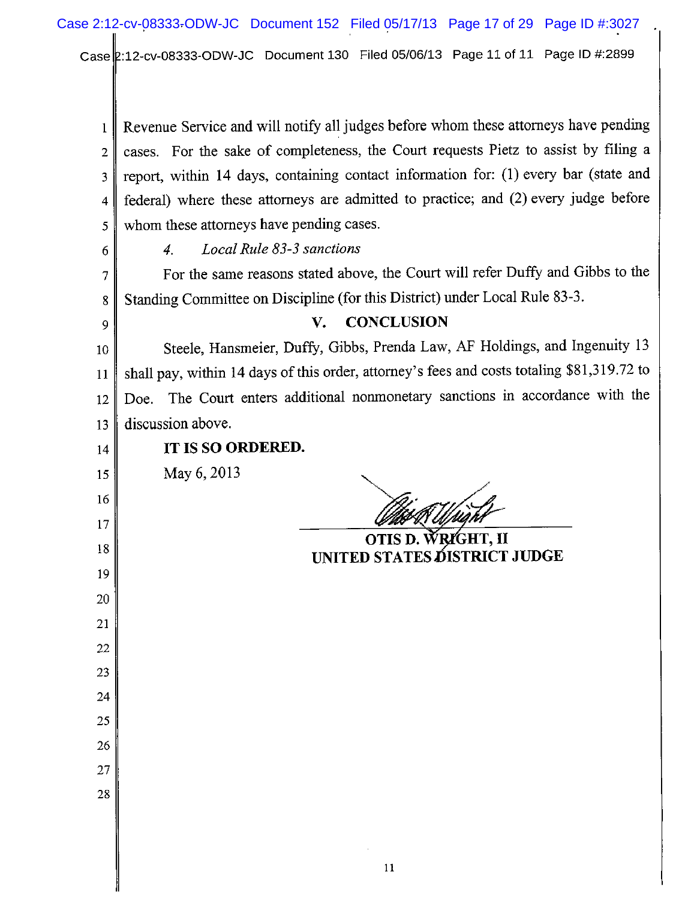| Case 2:12-cv-08333-ODW-JC Document 152 Filed 05/17/13 Page 17 of 29 Page ID #:3027 |  |  |
|------------------------------------------------------------------------------------|--|--|
| Case 2:12-cv-08333-ODW-JC Document 130 Filed 05/06/13 Page 11 of 11 Page ID #:2899 |  |  |

| $1 \parallel$ Revenue Service and will notify all judges before whom these attorneys have pending         |
|-----------------------------------------------------------------------------------------------------------|
| $2 \parallel \text{cases}$ . For the sake of completeness, the Court requests Pietz to assist by filing a |
| $3 \parallel$ report, within 14 days, containing contact information for: (1) every bar (state and        |
| $4 \parallel$ federal) where these attorneys are admitted to practice; and (2) every judge before         |
| $5 \parallel$ whom these attorneys have pending cases.                                                    |

6

 $\overline{7}$ 

 $\boldsymbol{8}$ 

14

 $15$ 

16

17

18

19

20

21

22

23

24

25

26

27

28

 $\overline{4}$ . Local Rule 83-3 sanctions

For the same reasons stated above, the Court will refer Duffy and Gibbs to the Standing Committee on Discipline (for this District) under Local Rule 83-3.

#### V. **CONCLUSION**  $\overline{9}$ Steele, Hansmeier, Duffy, Gibbs, Prenda Law, AF Holdings, and Ingenuity 13  $10$ shall pay, within 14 days of this order, attorney's fees and costs totaling \$81,319.72 to 11 Doe. The Court enters additional nonmonetary sanctions in accordance with the  $12$ discussion above.  $13$

IT IS SO ORDERED.

May 6, 2013

#### OTIS D. **WRIGHT. II** UNITED STATES DISTRICT JUDGE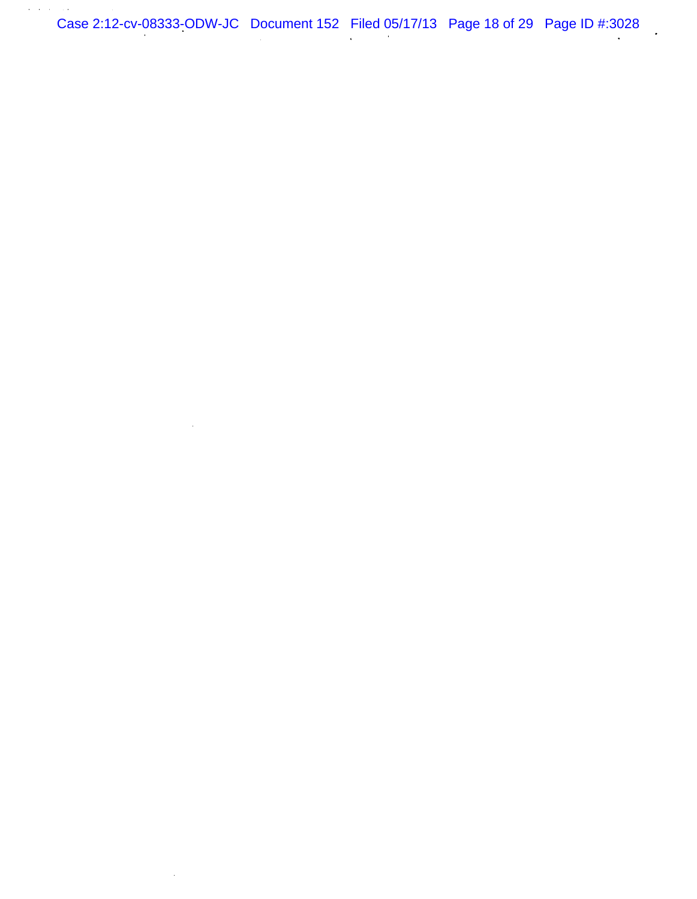Case 2:12-cv-08333-ODW-JC Document 152 Filed 05/17/13 Page 18 of 29 Page ID #:3028

 $\ddot{\phantom{a}}$ 

 $\Delta \sim 10^{11}$  km  $^{-1}$  km s  $^{-1}$ 

 $\Delta$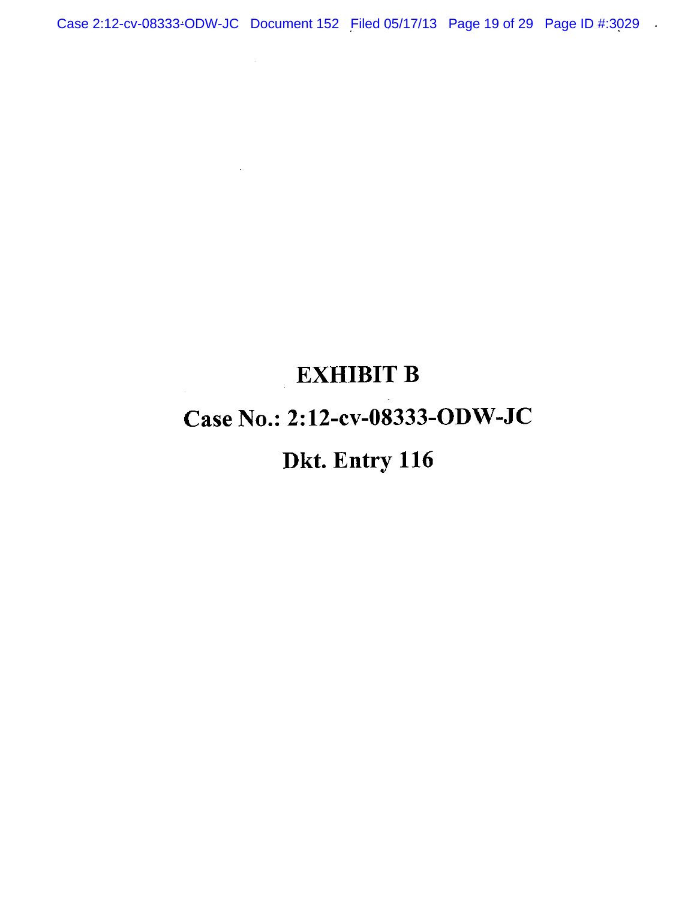Case 2:12-cv-08333-ODW-JC Document 152 Filed 05/17/13 Page 19 of 29 Page ID #:3029

 $\bar{\mathcal{A}}$ 

## **EXHIBIT B** Case No.: 2:12-cv-08333-ODW-JC Dkt. Entry 116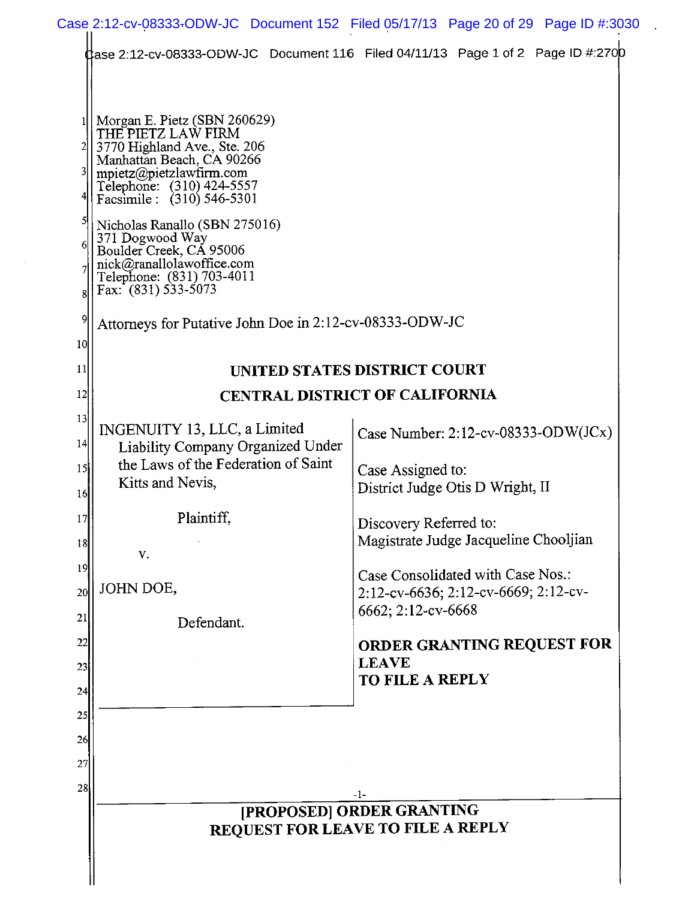|                      |                                                                                                                                                                                                                                                                                                                                               | Case 2:12-cv-08333-ODW-JC Document 152 Filed 05/17/13 Page 20 of 29 Page ID #:3030              |
|----------------------|-----------------------------------------------------------------------------------------------------------------------------------------------------------------------------------------------------------------------------------------------------------------------------------------------------------------------------------------------|-------------------------------------------------------------------------------------------------|
|                      |                                                                                                                                                                                                                                                                                                                                               | $\sharp$ ase 2:12-cv-08333-ODW-JC Document 116 Filed 04/11/13 Page 1 of 2 Page ID #:270 $\flat$ |
| 6                    | Morgan E. Pietz (SBN 260629)<br>THE PIETZ LAW FIRM<br>3770 Highland Ave., Ste. 206<br>Manhattan Beach, CA 90266<br>mpietz@pietzlawfirm.com<br>Telephone: (310) 424-5557<br>Facsimile: (310) 546-5301<br>Nicholas Ranallo (SBN 275016)<br>371 Dogwood Way<br>Boulder Creek, CA 95006<br>nick@ranallolawoffice.com<br>Telephone: (831) 703-4011 |                                                                                                 |
| 81                   | Fax: (831) 533-5073                                                                                                                                                                                                                                                                                                                           |                                                                                                 |
| 9<br>10 <sup>1</sup> | Attorneys for Putative John Doe in 2:12-cv-08333-ODW-JC                                                                                                                                                                                                                                                                                       |                                                                                                 |
| 11                   |                                                                                                                                                                                                                                                                                                                                               | UNITED STATES DISTRICT COURT                                                                    |
| 12                   |                                                                                                                                                                                                                                                                                                                                               | <b>CENTRAL DISTRICT OF CALIFORNIA</b>                                                           |
| 13                   |                                                                                                                                                                                                                                                                                                                                               |                                                                                                 |
| 14                   | INGENUITY 13, LLC, a Limited<br>Liability Company Organized Under                                                                                                                                                                                                                                                                             | Case Number: $2:12$ -cv-08333-ODW(JCx)                                                          |
| 15<br>16             | the Laws of the Federation of Saint<br>Kitts and Nevis,                                                                                                                                                                                                                                                                                       | Case Assigned to:<br>District Judge Otis D Wright, II                                           |
| 17<br>18             | Plaintiff,                                                                                                                                                                                                                                                                                                                                    | Discovery Referred to:<br>Magistrate Judge Jacqueline Chooljian                                 |
|                      | V.                                                                                                                                                                                                                                                                                                                                            |                                                                                                 |
| 19<br>20             | JOHN DOE,                                                                                                                                                                                                                                                                                                                                     | Case Consolidated with Case Nos.:<br>2:12-cv-6636; 2:12-cv-6669; 2:12-cv-                       |
| 21                   | Defendant.                                                                                                                                                                                                                                                                                                                                    | 6662; 2:12-cv-6668                                                                              |
| 22<br>23             |                                                                                                                                                                                                                                                                                                                                               | ORDER GRANTING REQUEST FOR<br><b>LEAVE</b>                                                      |
| 24                   |                                                                                                                                                                                                                                                                                                                                               | <b>TO FILE A REPLY</b>                                                                          |
| 25                   |                                                                                                                                                                                                                                                                                                                                               |                                                                                                 |
| 26                   |                                                                                                                                                                                                                                                                                                                                               |                                                                                                 |
| 27                   |                                                                                                                                                                                                                                                                                                                                               |                                                                                                 |
| 28                   |                                                                                                                                                                                                                                                                                                                                               |                                                                                                 |
|                      |                                                                                                                                                                                                                                                                                                                                               | -1-<br>[PROPOSED] ORDER GRANTING                                                                |
|                      |                                                                                                                                                                                                                                                                                                                                               | REQUEST FOR LEAVE TO FILE A REPLY                                                               |
|                      |                                                                                                                                                                                                                                                                                                                                               |                                                                                                 |
|                      |                                                                                                                                                                                                                                                                                                                                               |                                                                                                 |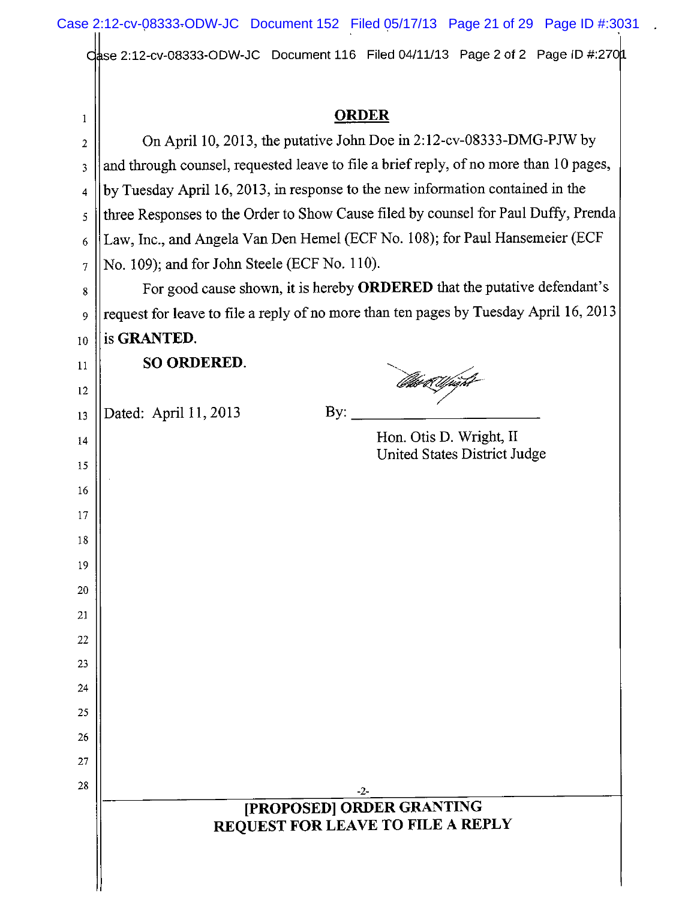|                  | Case 2:12-cv-08333-ODW-JC Document 152 Filed 05/17/13 Page 21 of 29 Page ID #:3031    |
|------------------|---------------------------------------------------------------------------------------|
|                  | Qase 2:12-cv-08333-ODW-JC Document 116 Filed 04/11/13 Page 2 of 2 Page ID #:27001     |
|                  |                                                                                       |
| $\mathbf{1}$     | <b>ORDER</b>                                                                          |
| $\boldsymbol{2}$ | On April 10, 2013, the putative John Doe in $2:12$ -cv-08333-DMG-PJW by               |
| 3                | and through counsel, requested leave to file a brief reply, of no more than 10 pages, |
| 4                | by Tuesday April 16, 2013, in response to the new information contained in the        |
| 5                | three Responses to the Order to Show Cause filed by counsel for Paul Duffy, Prenda    |
| 6                | Law, Inc., and Angela Van Den Hemel (ECF No. 108); for Paul Hansemeier (ECF           |
| $\overline{7}$   | No. 109); and for John Steele (ECF No. 110).                                          |
| 8                | For good cause shown, it is hereby ORDERED that the putative defendant's              |
| 9                | request for leave to file a reply of no more than ten pages by Tuesday April 16, 2013 |
| 10               | is GRANTED.                                                                           |
| 11               | SO ORDERED.                                                                           |
| 12               | <i>Ako 2</i> 0 Ungri                                                                  |
| 13               | By:<br>Dated: April 11, 2013                                                          |
| 14               | Hon. Otis D. Wright, II                                                               |
| 15               | United States District Judge                                                          |
| 16               |                                                                                       |
| 17               |                                                                                       |
| 18               |                                                                                       |
| 19               |                                                                                       |
| 20               |                                                                                       |
| 21               |                                                                                       |
| 22               |                                                                                       |
| 23               |                                                                                       |
| 24               |                                                                                       |
| 25               |                                                                                       |
| 26               |                                                                                       |
| 27               |                                                                                       |
| 28               | $-2-$                                                                                 |

# **EXECUTED IN THE ORDER GRANTING REQUEST FOR LEAVE TO FILE A REPLY**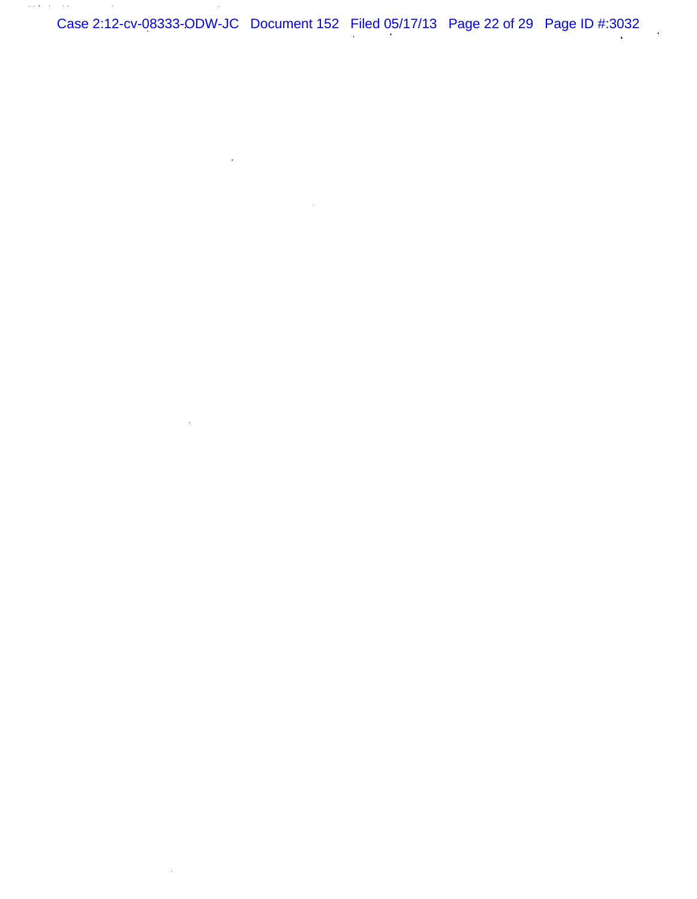Case 2:12-cv-08333-ODW-JC Document 152 Filed 05/17/13 Page 22 of 29 Page ID #:3032

 $\sim 10^{-10}$ 

 $\sim 10^{-10}$ 

 $\mathbb{R}^2$ 

 $\hat{\rho}$  is a set of  $\hat{\rho}$  , where

 $\sim$   $\alpha$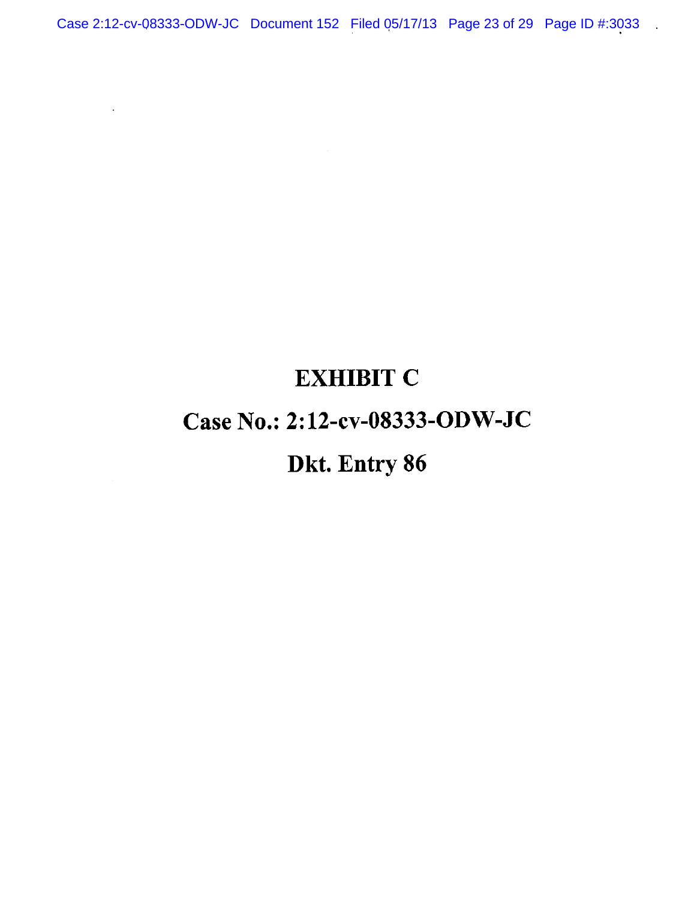Case 2:12-cv-08333-ODW-JC Document 152 Filed 05/17/13 Page 23 of 29 Page ID #:3033

 $\sim 10^{10}$  km s  $^{-1}$ 

### **EXHIBIT C**

### Case No.: 2:12-cv-08333-ODW-JC

### Dkt. Entry 86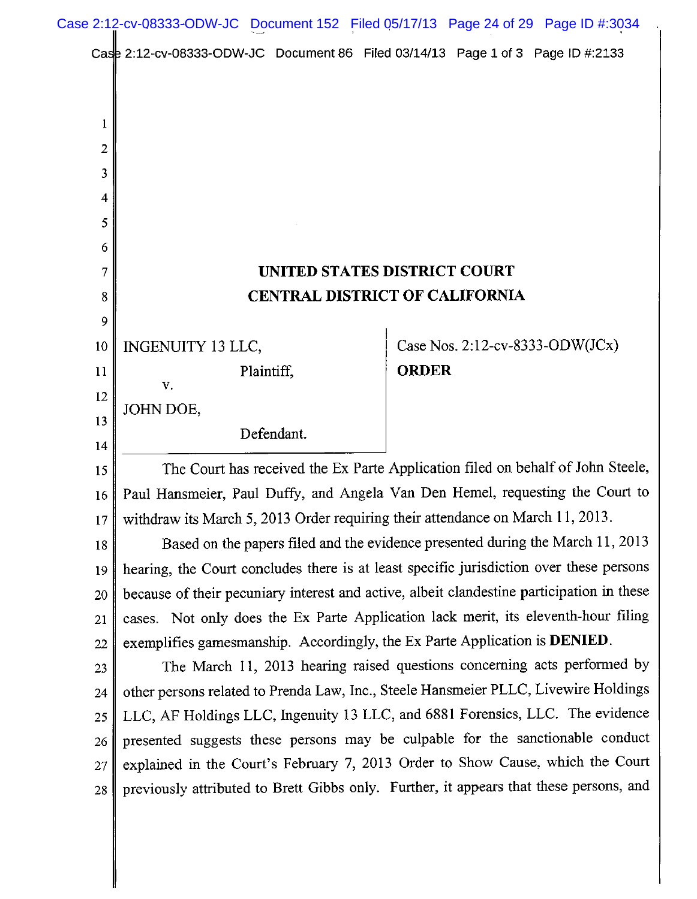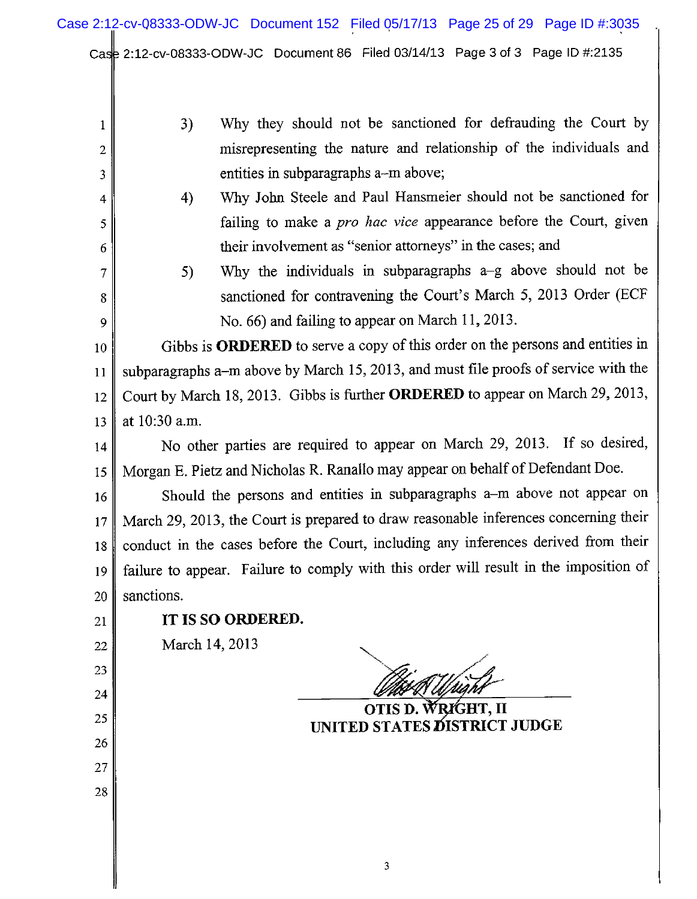- Why they should not be sanctioned for defrauding the Court by  $3)$ misrepresenting the nature and relationship of the individuals and entities in subparagraphs a-m above;
- Why John Steele and Paul Hansmeier should not be sanctioned for  $4)$ failing to make a *pro hac vice* appearance before the Court, given their involvement as "senior attorneys" in the cases; and
- Why the individuals in subparagraphs a-g above should not be  $5)$ sanctioned for contravening the Court's March 5, 2013 Order (ECF No. 66) and failing to appear on March 11, 2013.

Gibbs is **ORDERED** to serve a copy of this order on the persons and entities in 10 subparagraphs a-m above by March 15, 2013, and must file proofs of service with the 11 Court by March 18, 2013. Gibbs is further ORDERED to appear on March 29, 2013,  $12$ at 10:30 a.m. 13

No other parties are required to appear on March 29, 2013. If so desired, 14 Morgan E. Pietz and Nicholas R. Ranallo may appear on behalf of Defendant Doe. 15

Should the persons and entities in subparagraphs a-m above not appear on 16 March 29, 2013, the Court is prepared to draw reasonable inferences concerning their 17 conduct in the cases before the Court, including any inferences derived from their 18 failure to appear. Failure to comply with this order will result in the imposition of 19 sanctions. 20

21

22

23

24

25

26

27

28

 $\mathbf{1}$ 

 $\overline{2}$ 

3

 $\overline{4}$ 

5

6

7

8

9

IT IS SO ORDERED.

March 14, 2013

 $\epsilon$ нт. II **INITED STATES DISTRICT JUDGE**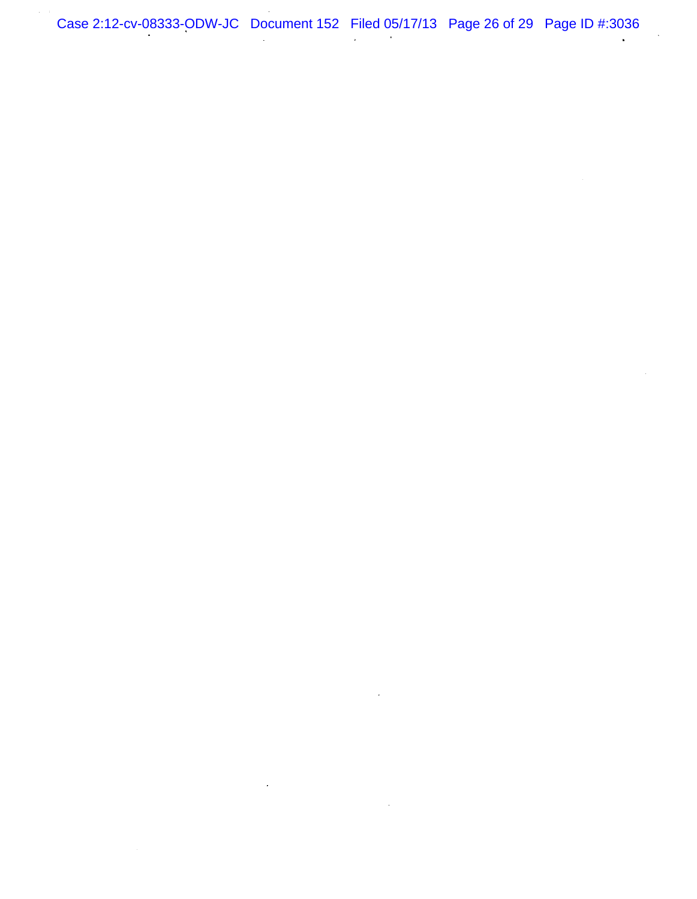$\ddot{\phantom{a}}$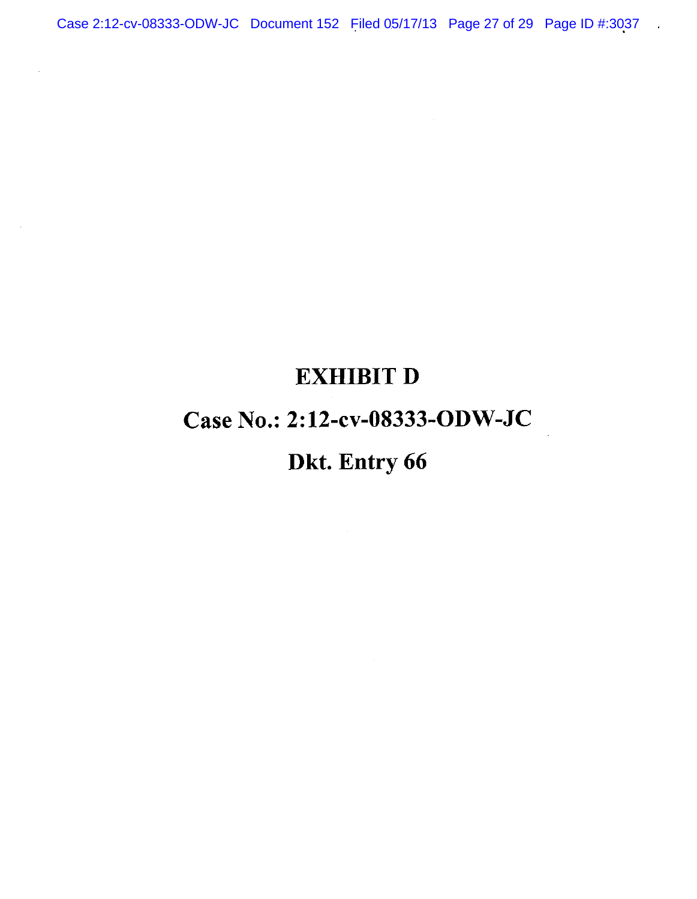Case 2:12-cv-08333-ODW-JC Document 152 Filed 05/17/13 Page 27 of 29 Page ID #:3037

 $\mathcal{L}_{\mathbf{r}}$ 

# **EXHIBIT D** Case No.: 2:12-cv-08333-ODW-JC Dkt. Entry 66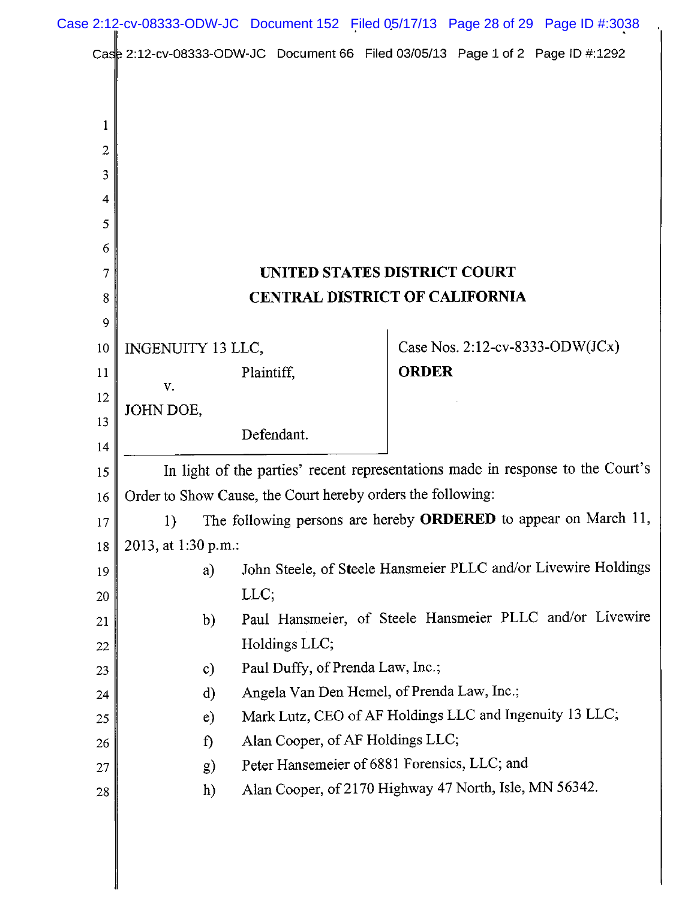|                     |                                                                                 |            |                                            |              |                                                        | Case 2:12-cv-08333-ODW-JC Document 152 Filed 05/17/13 Page 28 of 29 Page ID #:3038 |  |
|---------------------|---------------------------------------------------------------------------------|------------|--------------------------------------------|--------------|--------------------------------------------------------|------------------------------------------------------------------------------------|--|
|                     | Case 2:12-cv-08333-ODW-JC Document 66 Filed 03/05/13 Page 1 of 2 Page ID #:1292 |            |                                            |              |                                                        |                                                                                    |  |
|                     |                                                                                 |            |                                            |              |                                                        |                                                                                    |  |
|                     |                                                                                 |            |                                            |              |                                                        |                                                                                    |  |
| 1<br>$\overline{c}$ |                                                                                 |            |                                            |              |                                                        |                                                                                    |  |
| 3                   |                                                                                 |            |                                            |              |                                                        |                                                                                    |  |
| 4                   |                                                                                 |            |                                            |              |                                                        |                                                                                    |  |
| 5                   |                                                                                 |            |                                            |              |                                                        |                                                                                    |  |
| 6                   |                                                                                 |            |                                            |              |                                                        |                                                                                    |  |
| 7                   |                                                                                 |            | UNITED STATES DISTRICT COURT               |              |                                                        |                                                                                    |  |
| 8                   |                                                                                 |            |                                            |              | <b>CENTRAL DISTRICT OF CALIFORNIA</b>                  |                                                                                    |  |
| 9                   |                                                                                 |            |                                            |              |                                                        |                                                                                    |  |
| 10                  | INGENUITY 13 LLC,                                                               |            |                                            |              |                                                        | Case Nos. 2:12-cv-8333-ODW(JCx)                                                    |  |
| 11                  | V.                                                                              | Plaintiff, |                                            | <b>ORDER</b> |                                                        |                                                                                    |  |
| 12                  | JOHN DOE,                                                                       |            |                                            |              |                                                        |                                                                                    |  |
| 13                  |                                                                                 |            | Defendant.                                 |              |                                                        |                                                                                    |  |
| 14                  |                                                                                 |            |                                            |              |                                                        |                                                                                    |  |
| 15                  |                                                                                 |            |                                            |              |                                                        | In light of the parties' recent representations made in response to the Court's    |  |
| 16                  | Order to Show Cause, the Court hereby orders the following:                     |            |                                            |              |                                                        |                                                                                    |  |
| $17\,$              | 1)                                                                              |            |                                            |              |                                                        | The following persons are hereby <b>ORDERED</b> to appear on March 11,             |  |
| 18<br>19            | 2013, at 1:30 p.m.:<br>a)                                                       |            |                                            |              |                                                        | John Steele, of Steele Hansmeier PLLC and/or Livewire Holdings                     |  |
| 20                  |                                                                                 | LLC;       |                                            |              |                                                        |                                                                                    |  |
| 21                  | $\mathbf{b}$                                                                    |            |                                            |              |                                                        | Paul Hansmeier, of Steele Hansmeier PLLC and/or Livewire                           |  |
| 22                  |                                                                                 |            | Holdings LLC;                              |              |                                                        |                                                                                    |  |
| 23                  | $\mathbf{c}$                                                                    |            | Paul Duffy, of Prenda Law, Inc.;           |              |                                                        |                                                                                    |  |
| 24                  | $\mathbf{d}$                                                                    |            | Angela Van Den Hemel, of Prenda Law, Inc.; |              |                                                        |                                                                                    |  |
| 25                  | e)                                                                              |            |                                            |              |                                                        | Mark Lutz, CEO of AF Holdings LLC and Ingenuity 13 LLC;                            |  |
| 26                  | f)                                                                              |            | Alan Cooper, of AF Holdings LLC;           |              |                                                        |                                                                                    |  |
| 27                  | g)                                                                              |            |                                            |              | Peter Hansemeier of 6881 Forensics, LLC; and           |                                                                                    |  |
| 28                  | h)                                                                              |            |                                            |              | Alan Cooper, of 2170 Highway 47 North, Isle, MN 56342. |                                                                                    |  |
|                     |                                                                                 |            |                                            |              |                                                        |                                                                                    |  |